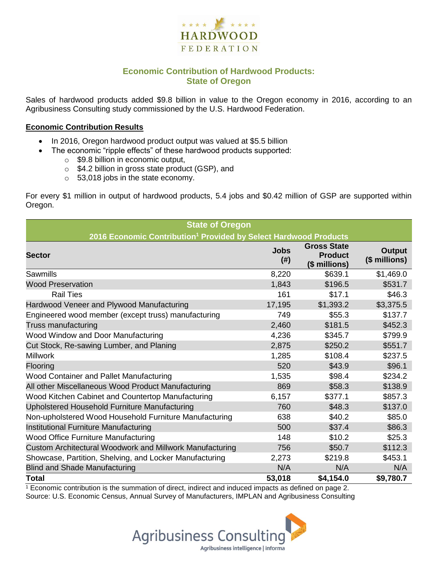

### **Economic Contribution of Hardwood Products: State of Oregon**

Sales of hardwood products added \$9.8 billion in value to the Oregon economy in 2016, according to an Agribusiness Consulting study commissioned by the U.S. Hardwood Federation.

#### **Economic Contribution Results**

- In 2016, Oregon hardwood product output was valued at \$5.5 billion
	- The economic "ripple effects" of these hardwood products supported:
		- $\circ$  \$9.8 billion in economic output,
		- o \$4.2 billion in gross state product (GSP), and
		- o 53,018 jobs in the state economy.

For every \$1 million in output of hardwood products, 5.4 jobs and \$0.42 million of GSP are supported within Oregon.

| <b>State of Oregon</b>                                                       |                       |                                                       |                                |  |  |  |  |
|------------------------------------------------------------------------------|-----------------------|-------------------------------------------------------|--------------------------------|--|--|--|--|
| 2016 Economic Contribution <sup>1</sup> Provided by Select Hardwood Products |                       |                                                       |                                |  |  |  |  |
| <b>Sector</b>                                                                | <b>Jobs</b><br>$(\#)$ | <b>Gross State</b><br><b>Product</b><br>(\$ millions) | <b>Output</b><br>(\$ millions) |  |  |  |  |
| Sawmills                                                                     | 8,220                 | \$639.1                                               | \$1,469.0                      |  |  |  |  |
| <b>Wood Preservation</b>                                                     | 1,843                 | \$196.5                                               | \$531.7                        |  |  |  |  |
| <b>Rail Ties</b>                                                             | 161                   | \$17.1                                                | \$46.3                         |  |  |  |  |
| Hardwood Veneer and Plywood Manufacturing                                    | 17,195                | \$1,393.2                                             | \$3,375.5                      |  |  |  |  |
| Engineered wood member (except truss) manufacturing                          | 749                   | \$55.3                                                | \$137.7                        |  |  |  |  |
| Truss manufacturing                                                          | 2,460                 | \$181.5                                               | \$452.3                        |  |  |  |  |
| Wood Window and Door Manufacturing                                           | 4,236                 | \$345.7                                               | \$799.9                        |  |  |  |  |
| Cut Stock, Re-sawing Lumber, and Planing                                     | 2,875                 | \$250.2                                               | \$551.7                        |  |  |  |  |
| <b>Millwork</b>                                                              | 1,285                 | \$108.4                                               | \$237.5                        |  |  |  |  |
| Flooring                                                                     | 520                   | \$43.9                                                | \$96.1                         |  |  |  |  |
| Wood Container and Pallet Manufacturing                                      | 1,535                 | \$98.4                                                | \$234.2                        |  |  |  |  |
| All other Miscellaneous Wood Product Manufacturing                           | 869                   | \$58.3                                                | \$138.9                        |  |  |  |  |
| Wood Kitchen Cabinet and Countertop Manufacturing                            | 6,157                 | \$377.1                                               | \$857.3                        |  |  |  |  |
| Upholstered Household Furniture Manufacturing                                | 760                   | \$48.3                                                | \$137.0                        |  |  |  |  |
| Non-upholstered Wood Household Furniture Manufacturing                       | 638                   | \$40.2                                                | \$85.0                         |  |  |  |  |
| Institutional Furniture Manufacturing                                        | 500                   | \$37.4                                                | \$86.3                         |  |  |  |  |
| <b>Wood Office Furniture Manufacturing</b>                                   | 148                   | \$10.2                                                | \$25.3                         |  |  |  |  |
| Custom Architectural Woodwork and Millwork Manufacturing                     | 756                   | \$50.7                                                | \$112.3                        |  |  |  |  |
| Showcase, Partition, Shelving, and Locker Manufacturing                      | 2,273                 | \$219.8                                               | \$453.1                        |  |  |  |  |
| <b>Blind and Shade Manufacturing</b>                                         | N/A                   | N/A                                                   | N/A                            |  |  |  |  |
| <b>Total</b>                                                                 | 53,018                | \$4,154.0                                             | \$9,780.7                      |  |  |  |  |

 $1$  Economic contribution is the summation of direct, indirect and induced impacts as defined on page 2. Source: U.S. Economic Census, Annual Survey of Manufacturers, IMPLAN and Agribusiness Consulting